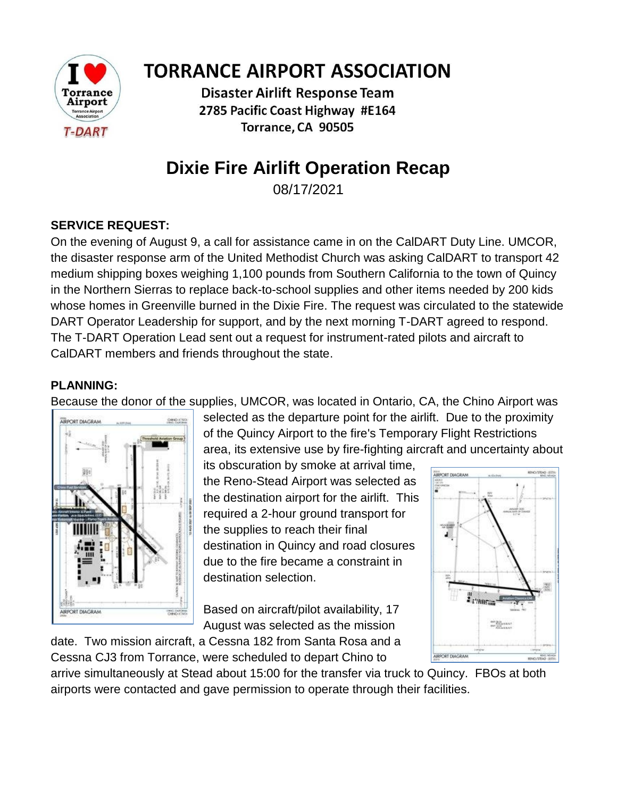

# **TORRANCE AIRPORT ASSOCIATION**

**Disaster Airlift Response Team** 2785 Pacific Coast Highway #E164 Torrance, CA 90505

## **Dixie Fire Airlift Operation Recap**

08/17/2021

### **SERVICE REQUEST:**

On the evening of August 9, a call for assistance came in on the CalDART Duty Line. UMCOR, the disaster response arm of the United Methodist Church was asking CalDART to transport 42 medium shipping boxes weighing 1,100 pounds from Southern California to the town of Quincy in the Northern Sierras to replace back-to-school supplies and other items needed by 200 kids whose homes in Greenville burned in the Dixie Fire. The request was circulated to the statewide DART Operator Leadership for support, and by the next morning T-DART agreed to respond. The T-DART Operation Lead sent out a request for instrument-rated pilots and aircraft to CalDART members and friends throughout the state.

#### **PLANNING:**

Because the donor of the supplies, UMCOR, was located in Ontario, CA, the Chino Airport was



selected as the departure point for the airlift. Due to the proximity of the Quincy Airport to the fire's Temporary Flight Restrictions area, its extensive use by fire-fighting aircraft and uncertainty about

its obscuration by smoke at arrival time, the Reno-Stead Airport was selected as the destination airport for the airlift. This required a 2-hour ground transport for the supplies to reach their final destination in Quincy and road closures due to the fire became a constraint in destination selection.

Based on aircraft/pilot availability, 17 August was selected as the mission

date. Two mission aircraft, a Cessna 182 from Santa Rosa and a Cessna CJ3 from Torrance, were scheduled to depart Chino to



arrive simultaneously at Stead about 15:00 for the transfer via truck to Quincy. FBOs at both airports were contacted and gave permission to operate through their facilities.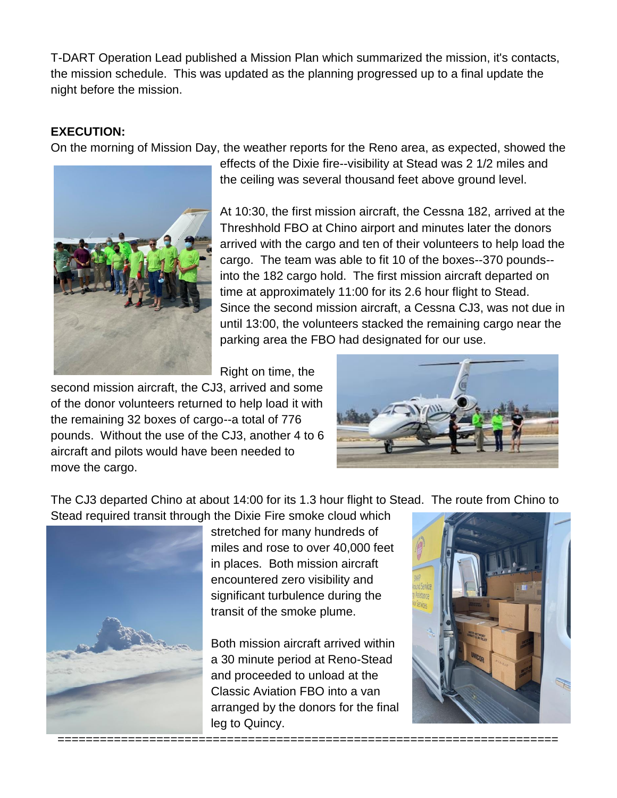T-DART Operation Lead published a Mission Plan which summarized the mission, it's contacts, the mission schedule. This was updated as the planning progressed up to a final update the night before the mission.

#### **EXECUTION:**

On the morning of Mission Day, the weather reports for the Reno area, as expected, showed the



effects of the Dixie fire--visibility at Stead was 2 1/2 miles and the ceiling was several thousand feet above ground level.

At 10:30, the first mission aircraft, the Cessna 182, arrived at the Threshhold FBO at Chino airport and minutes later the donors arrived with the cargo and ten of their volunteers to help load the cargo. The team was able to fit 10 of the boxes--370 pounds- into the 182 cargo hold. The first mission aircraft departed on time at approximately 11:00 for its 2.6 hour flight to Stead. Since the second mission aircraft, a Cessna CJ3, was not due in until 13:00, the volunteers stacked the remaining cargo near the parking area the FBO had designated for our use.

Right on time, the

second mission aircraft, the CJ3, arrived and some of the donor volunteers returned to help load it with the remaining 32 boxes of cargo--a total of 776 pounds. Without the use of the CJ3, another 4 to 6 aircraft and pilots would have been needed to move the cargo.



The CJ3 departed Chino at about 14:00 for its 1.3 hour flight to Stead. The route from Chino to



stretched for many hundreds of miles and rose to over 40,000 feet in places. Both mission aircraft encountered zero visibility and significant turbulence during the transit of the smoke plume.

Both mission aircraft arrived within a 30 minute period at Reno-Stead and proceeded to unload at the Classic Aviation FBO into a van arranged by the donors for the final leg to Quincy.